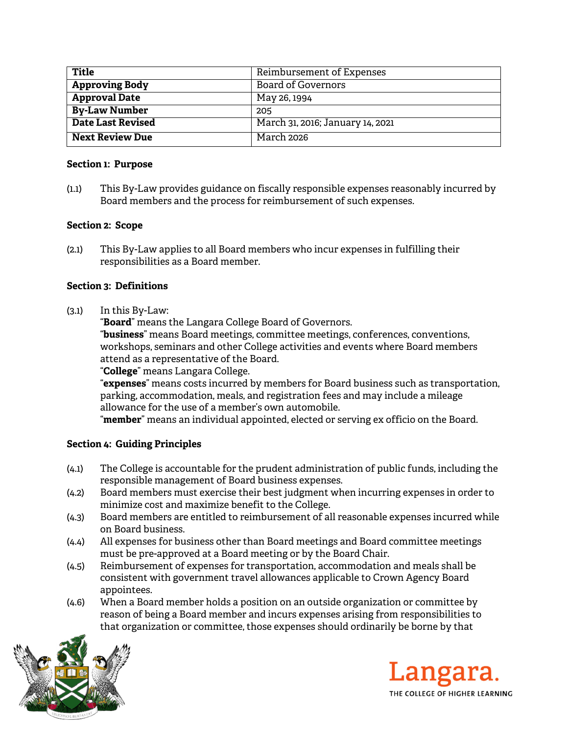| Title                  | Reimbursement of Expenses        |
|------------------------|----------------------------------|
| <b>Approving Body</b>  | <b>Board of Governors</b>        |
| <b>Approval Date</b>   | May 26, 1994                     |
| <b>By-Law Number</b>   | 205                              |
| Date Last Revised      | March 31, 2016; January 14, 2021 |
| <b>Next Review Due</b> | March 2026                       |

#### **Section 1: Purpose**

(1.1) This By-Law provides guidance on fiscally responsible expenses reasonably incurred by Board members and the process for reimbursement of such expenses.

## **Section 2: Scope**

(2.1) This By-Law applies to all Board members who incur expenses in fulfilling their responsibilities as a Board member.

## **Section 3: Definitions**

(3.1) In this By-Law:

"**Board**" means the Langara College Board of Governors.

"**business**" means Board meetings, committee meetings, conferences, conventions, workshops, seminars and other College activities and events where Board members attend as a representative of the Board.

## "**College**" means Langara College.

"**expenses**" means costs incurred by members for Board business such as transportation, parking, accommodation, meals, and registration fees and may include a mileage allowance for the use of a member's own automobile.

"**member**" means an individual appointed, elected or serving ex officio on the Board.

# **Section 4: Guiding Principles**

- (4.1) The College is accountable for the prudent administration of public funds, including the responsible management of Board business expenses.
- (4.2) Board members must exercise their best judgment when incurring expenses in order to minimize cost and maximize benefit to the College.
- (4.3) Board members are entitled to reimbursement of all reasonable expenses incurred while on Board business.
- (4.4) All expenses for business other than Board meetings and Board committee meetings must be pre-approved at a Board meeting or by the Board Chair.
- (4.5) Reimbursement of expenses for transportation, accommodation and meals shall be consistent with government travel allowances applicable to Crown Agency Board appointees.
- (4.6) When a Board member holds a position on an outside organization or committee by reason of being a Board member and incurs expenses arising from responsibilities to that organization or committee, those expenses should ordinarily be borne by that